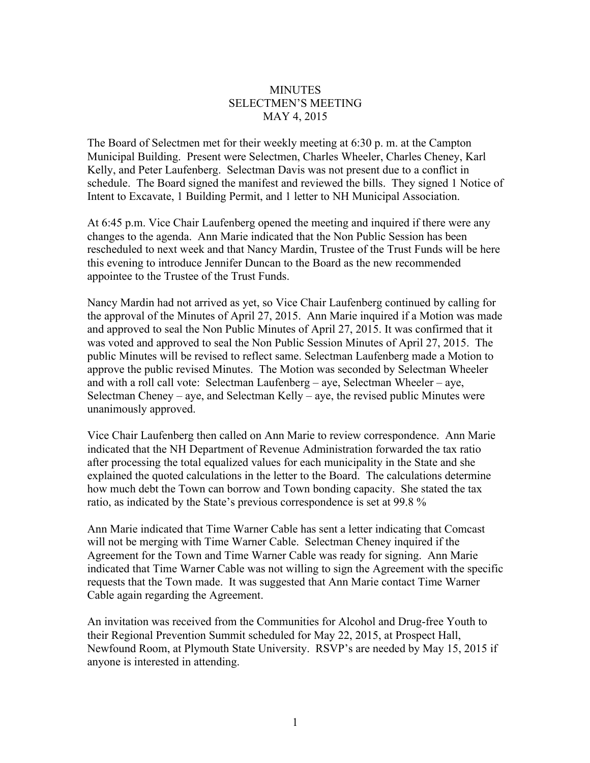## **MINUTES** SELECTMEN'S MEETING MAY 4, 2015

The Board of Selectmen met for their weekly meeting at 6:30 p. m. at the Campton Municipal Building. Present were Selectmen, Charles Wheeler, Charles Cheney, Karl Kelly, and Peter Laufenberg. Selectman Davis was not present due to a conflict in schedule. The Board signed the manifest and reviewed the bills. They signed 1 Notice of Intent to Excavate, 1 Building Permit, and 1 letter to NH Municipal Association.

At 6:45 p.m. Vice Chair Laufenberg opened the meeting and inquired if there were any changes to the agenda. Ann Marie indicated that the Non Public Session has been rescheduled to next week and that Nancy Mardin, Trustee of the Trust Funds will be here this evening to introduce Jennifer Duncan to the Board as the new recommended appointee to the Trustee of the Trust Funds.

Nancy Mardin had not arrived as yet, so Vice Chair Laufenberg continued by calling for the approval of the Minutes of April 27, 2015. Ann Marie inquired if a Motion was made and approved to seal the Non Public Minutes of April 27, 2015. It was confirmed that it was voted and approved to seal the Non Public Session Minutes of April 27, 2015. The public Minutes will be revised to reflect same. Selectman Laufenberg made a Motion to approve the public revised Minutes. The Motion was seconded by Selectman Wheeler and with a roll call vote: Selectman Laufenberg – aye, Selectman Wheeler – aye, Selectman Cheney – aye, and Selectman Kelly – aye, the revised public Minutes were unanimously approved.

Vice Chair Laufenberg then called on Ann Marie to review correspondence. Ann Marie indicated that the NH Department of Revenue Administration forwarded the tax ratio after processing the total equalized values for each municipality in the State and she explained the quoted calculations in the letter to the Board. The calculations determine how much debt the Town can borrow and Town bonding capacity. She stated the tax ratio, as indicated by the State's previous correspondence is set at 99.8 %

Ann Marie indicated that Time Warner Cable has sent a letter indicating that Comcast will not be merging with Time Warner Cable. Selectman Cheney inquired if the Agreement for the Town and Time Warner Cable was ready for signing. Ann Marie indicated that Time Warner Cable was not willing to sign the Agreement with the specific requests that the Town made. It was suggested that Ann Marie contact Time Warner Cable again regarding the Agreement.

An invitation was received from the Communities for Alcohol and Drug-free Youth to their Regional Prevention Summit scheduled for May 22, 2015, at Prospect Hall, Newfound Room, at Plymouth State University. RSVP's are needed by May 15, 2015 if anyone is interested in attending.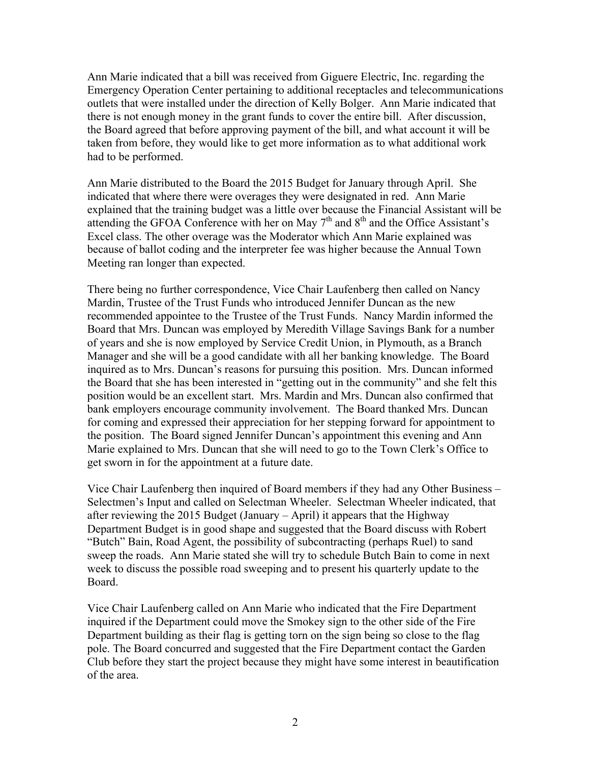Ann Marie indicated that a bill was received from Giguere Electric, Inc. regarding the Emergency Operation Center pertaining to additional receptacles and telecommunications outlets that were installed under the direction of Kelly Bolger. Ann Marie indicated that there is not enough money in the grant funds to cover the entire bill. After discussion, the Board agreed that before approving payment of the bill, and what account it will be taken from before, they would like to get more information as to what additional work had to be performed.

Ann Marie distributed to the Board the 2015 Budget for January through April. She indicated that where there were overages they were designated in red. Ann Marie explained that the training budget was a little over because the Financial Assistant will be attending the GFOA Conference with her on May  $7<sup>th</sup>$  and  $8<sup>th</sup>$  and the Office Assistant's Excel class. The other overage was the Moderator which Ann Marie explained was because of ballot coding and the interpreter fee was higher because the Annual Town Meeting ran longer than expected.

There being no further correspondence, Vice Chair Laufenberg then called on Nancy Mardin, Trustee of the Trust Funds who introduced Jennifer Duncan as the new recommended appointee to the Trustee of the Trust Funds. Nancy Mardin informed the Board that Mrs. Duncan was employed by Meredith Village Savings Bank for a number of years and she is now employed by Service Credit Union, in Plymouth, as a Branch Manager and she will be a good candidate with all her banking knowledge. The Board inquired as to Mrs. Duncan's reasons for pursuing this position. Mrs. Duncan informed the Board that she has been interested in "getting out in the community" and she felt this position would be an excellent start. Mrs. Mardin and Mrs. Duncan also confirmed that bank employers encourage community involvement. The Board thanked Mrs. Duncan for coming and expressed their appreciation for her stepping forward for appointment to the position. The Board signed Jennifer Duncan's appointment this evening and Ann Marie explained to Mrs. Duncan that she will need to go to the Town Clerk's Office to get sworn in for the appointment at a future date.

Vice Chair Laufenberg then inquired of Board members if they had any Other Business – Selectmen's Input and called on Selectman Wheeler. Selectman Wheeler indicated, that after reviewing the 2015 Budget (January – April) it appears that the Highway Department Budget is in good shape and suggested that the Board discuss with Robert "Butch" Bain, Road Agent, the possibility of subcontracting (perhaps Ruel) to sand sweep the roads. Ann Marie stated she will try to schedule Butch Bain to come in next week to discuss the possible road sweeping and to present his quarterly update to the Board.

Vice Chair Laufenberg called on Ann Marie who indicated that the Fire Department inquired if the Department could move the Smokey sign to the other side of the Fire Department building as their flag is getting torn on the sign being so close to the flag pole. The Board concurred and suggested that the Fire Department contact the Garden Club before they start the project because they might have some interest in beautification of the area.